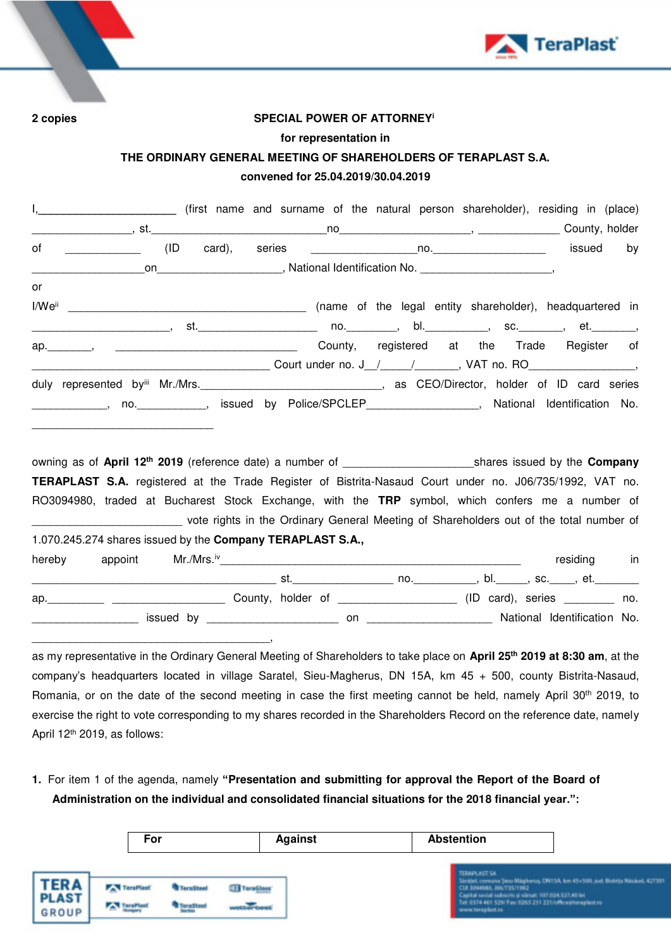



**2 copies SPECIAL POWER OF ATTORNEY<sup>i</sup>**

## **for representation in**

## **THE ORDINARY GENERAL MEETING OF SHAREHOLDERS OF TERAPLAST S.A. convened for 25.04.2019/30.04.2019**

|        | I, ________________________________(first name and surname of the natural person shareholder), residing in (place)   |     |  |  |  |  |  |             |
|--------|----------------------------------------------------------------------------------------------------------------------|-----|--|--|--|--|--|-------------|
|        |                                                                                                                      |     |  |  |  |  |  |             |
|        |                                                                                                                      | (ID |  |  |  |  |  | by          |
|        |                                                                                                                      |     |  |  |  |  |  |             |
| or     |                                                                                                                      |     |  |  |  |  |  |             |
|        |                                                                                                                      |     |  |  |  |  |  |             |
|        |                                                                                                                      |     |  |  |  |  |  |             |
|        | ap. Manuscript Arena County, registered at the Trade Register of                                                     |     |  |  |  |  |  |             |
|        |                                                                                                                      |     |  |  |  |  |  |             |
|        | duly represented byiii Mr./Mrs._________________________________, as CEO/Director, holder of ID card series          |     |  |  |  |  |  |             |
|        | ______________, no. _____________, issued by Police/SPCLEP____________________, National Identification No.          |     |  |  |  |  |  |             |
|        |                                                                                                                      |     |  |  |  |  |  |             |
|        |                                                                                                                      |     |  |  |  |  |  |             |
|        |                                                                                                                      |     |  |  |  |  |  |             |
|        | TERAPLAST S.A. registered at the Trade Register of Bistrita-Nasaud Court under no. J06/735/1992, VAT no.             |     |  |  |  |  |  |             |
|        | RO3094980, traded at Bucharest Stock Exchange, with the TRP symbol, which confers me a number of                     |     |  |  |  |  |  |             |
|        | vote rights in the Ordinary General Meeting of Shareholders out of the total number of                               |     |  |  |  |  |  |             |
|        | 1.070.245.274 shares issued by the Company TERAPLAST S.A.,                                                           |     |  |  |  |  |  |             |
| hereby |                                                                                                                      |     |  |  |  |  |  | residing in |
|        |                                                                                                                      |     |  |  |  |  |  |             |
|        | <u> Alexandria de la contrada de la contrada de la contrada de la contrada de la contrada de la contrada de la c</u> |     |  |  |  |  |  |             |
|        |                                                                                                                      |     |  |  |  |  |  |             |

\_\_\_\_\_\_\_\_\_\_\_\_\_\_\_\_\_\_\_\_\_\_\_\_\_\_\_\_\_\_\_\_\_\_\_\_\_\_, as my representative in the Ordinary General Meeting of Shareholders to take place on **April 25th 2019 at 8:30 am**, at the company's headquarters located in village Saratel, Sieu-Magherus, DN 15A, km 45 + 500, county Bistrita-Nasaud, Romania, or on the date of the second meeting in case the first meeting cannot be held, namely April 30<sup>th</sup> 2019, to exercise the right to vote corresponding to my shares recorded in the Shareholders Record on the reference date, namely

\_\_\_\_\_\_\_\_\_\_\_\_\_\_\_\_\_ issued by \_\_\_\_\_\_\_\_\_\_\_\_\_\_\_\_\_\_\_\_\_ on \_\_\_\_\_\_\_\_\_\_\_\_\_\_\_\_\_\_\_\_ National Identification No.

April 12th 2019, as follows:

**1.** For item 1 of the agenda, namely **"Presentation and submitting for approval the Report of the Board of Administration on the individual and consolidated financial situations for the 2018 financial year.":**

|                                             | For                           |                                                  | <b>Against</b>            | <b>Abstention</b>                                                    |                                                                                                                                                                                                      |
|---------------------------------------------|-------------------------------|--------------------------------------------------|---------------------------|----------------------------------------------------------------------|------------------------------------------------------------------------------------------------------------------------------------------------------------------------------------------------------|
| <b>TERA</b><br><b>PLAST</b><br><b>GROUP</b> | <b>TaraPlast</b><br>TeraPlast | <sup>4</sup> TeraSteel<br><sup>t</sup> TeraSteel | TeraGlass'<br>wester test | <b>TERAPLAST SA</b><br>CUI 3394680, J06/715/1992<br>www.teraplast.ro | Strated, consume Stew Magherus, ON15A, Irm 45+500, just. Bistrite Nasaud, 42730<br>Capital social subscris si värsat: 107.034.527,40 lei<br>Tel: 0374 461 529/ Fax: 0263 231 221/office@teraplast.ro |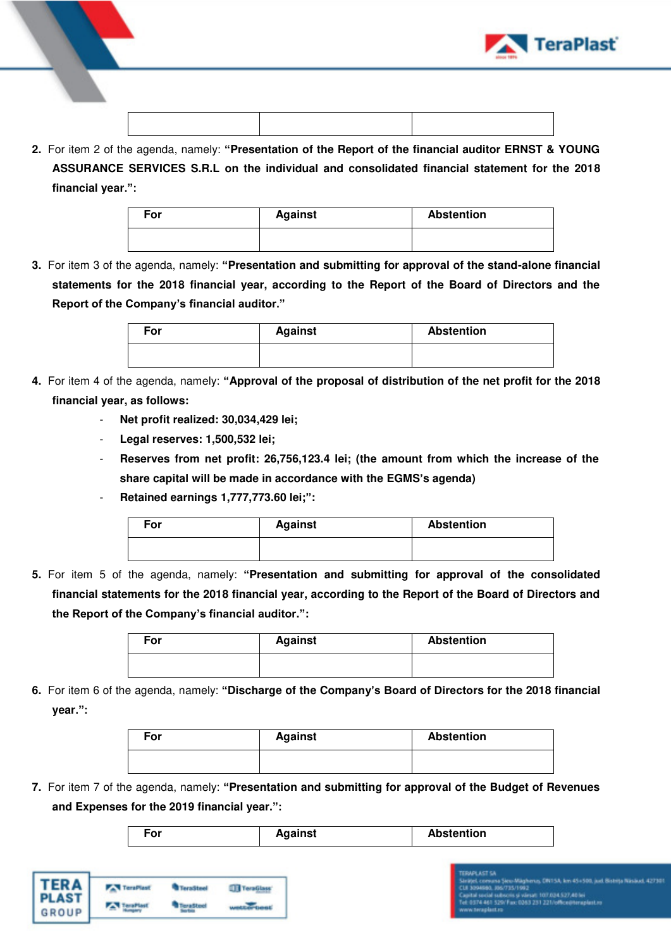



**2.** For item 2 of the agenda, namely: **"Presentation of the Report of the financial auditor ERNST & YOUNG ASSURANCE SERVICES S.R.L on the individual and consolidated financial statement for the 2018 financial year.":**

| For | <b>Against</b> | <b>Abstention</b> |
|-----|----------------|-------------------|
|     |                |                   |

**3.** For item 3 of the agenda, namely: **"Presentation and submitting for approval of the stand-alone financial statements for the 2018 financial year, according to the Report of the Board of Directors and the Report of the Company's financial auditor."**

| For | <b>Against</b> | <b>Abstention</b> |
|-----|----------------|-------------------|
|     |                |                   |

- **4.** For item 4 of the agenda, namely: **"Approval of the proposal of distribution of the net profit for the 2018 financial year, as follows:** 
	- **Net profit realized: 30,034,429 lei;**
	- **Legal reserves: 1,500,532 lei;**
	- **Reserves from net profit: 26,756,123.4 lei; (the amount from which the increase of the share capital will be made in accordance with the EGMS's agenda)**
	- **Retained earnings 1,777,773.60 lei;":**

| For | <b>Against</b> | <b>Abstention</b> |
|-----|----------------|-------------------|
|     |                |                   |

**5.** For item 5 of the agenda, namely: **"Presentation and submitting for approval of the consolidated financial statements for the 2018 financial year, according to the Report of the Board of Directors and the Report of the Company's financial auditor.":** 

| For | <b>Against</b> | <b>Abstention</b> |  |  |
|-----|----------------|-------------------|--|--|
|     |                |                   |  |  |

**6.** For item 6 of the agenda, namely: **"Discharge of the Company's Board of Directors for the 2018 financial year.":**

| For | <b>Against</b> | <b>Abstention</b> |
|-----|----------------|-------------------|
|     |                |                   |

**7.** For item 7 of the agenda, namely: **"Presentation and submitting for approval of the Budget of Revenues and Expenses for the 2019 financial year.":**

| <b>Abstention</b><br>Against<br>-or |
|-------------------------------------|
|-------------------------------------|

| <b>TERA</b><br>PLAST | TeraPlast | faraStee" |  |
|----------------------|-----------|-----------|--|
| <b>GROUP</b>         |           |           |  |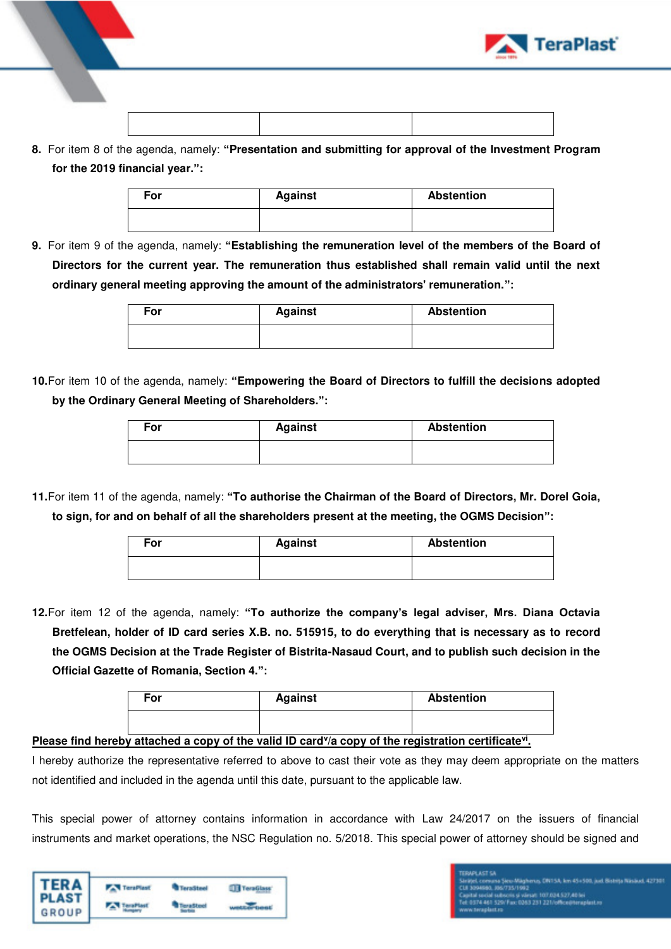

- 
- **8.** For item 8 of the agenda, namely: **"Presentation and submitting for approval of the Investment Program for the 2019 financial year.":**

| For | <b>Against</b> | <b>Abstention</b> |
|-----|----------------|-------------------|
|     |                |                   |

**9.** For item 9 of the agenda, namely: **"Establishing the remuneration level of the members of the Board of Directors for the current year. The remuneration thus established shall remain valid until the next ordinary general meeting approving the amount of the administrators' remuneration.":**

| For | <b>Against</b> | <b>Abstention</b> |
|-----|----------------|-------------------|
|     |                |                   |

**10.**For item 10 of the agenda, namely: **"Empowering the Board of Directors to fulfill the decisions adopted by the Ordinary General Meeting of Shareholders.":**

| For | <b>Against</b> | <b>Abstention</b> |
|-----|----------------|-------------------|
|     |                |                   |

**11.**For item 11 of the agenda, namely: **"To authorise the Chairman of the Board of Directors, Mr. Dorel Goia, to sign, for and on behalf of all the shareholders present at the meeting, the OGMS Decision":**

| For | <b>Against</b> | <b>Abstention</b> |
|-----|----------------|-------------------|
|     |                |                   |

**12.**For item 12 of the agenda, namely: **"To authorize the company's legal adviser, Mrs. Diana Octavia Bretfelean, holder of ID card series X.B. no. 515915, to do everything that is necessary as to record the OGMS Decision at the Trade Register of Bistrita-Nasaud Court, and to publish such decision in the Official Gazette of Romania, Section 4.":**

| For | <b>Against</b> | <b>Abstention</b> |
|-----|----------------|-------------------|
|     |                |                   |

## **Please find hereby attached a copy of the valid ID card<sup>y</sup>/a copy of the registration certificate<sup>vi</sup>.**

I hereby authorize the representative referred to above to cast their vote as they may deem appropriate on the matters not identified and included in the agenda until this date, pursuant to the applicable law.

This special power of attorney contains information in accordance with Law 24/2017 on the issuers of financial instruments and market operations, the NSC Regulation no. 5/2018. This special power of attorney should be signed and

| TERA<br>PLAST<br>GROUP | <b>TeraPlast</b> | <b>TeraSteel</b> | TeraGlass |
|------------------------|------------------|------------------|-----------|
|                        |                  |                  |           |

## -<br>Värsat: 107.024.527,401